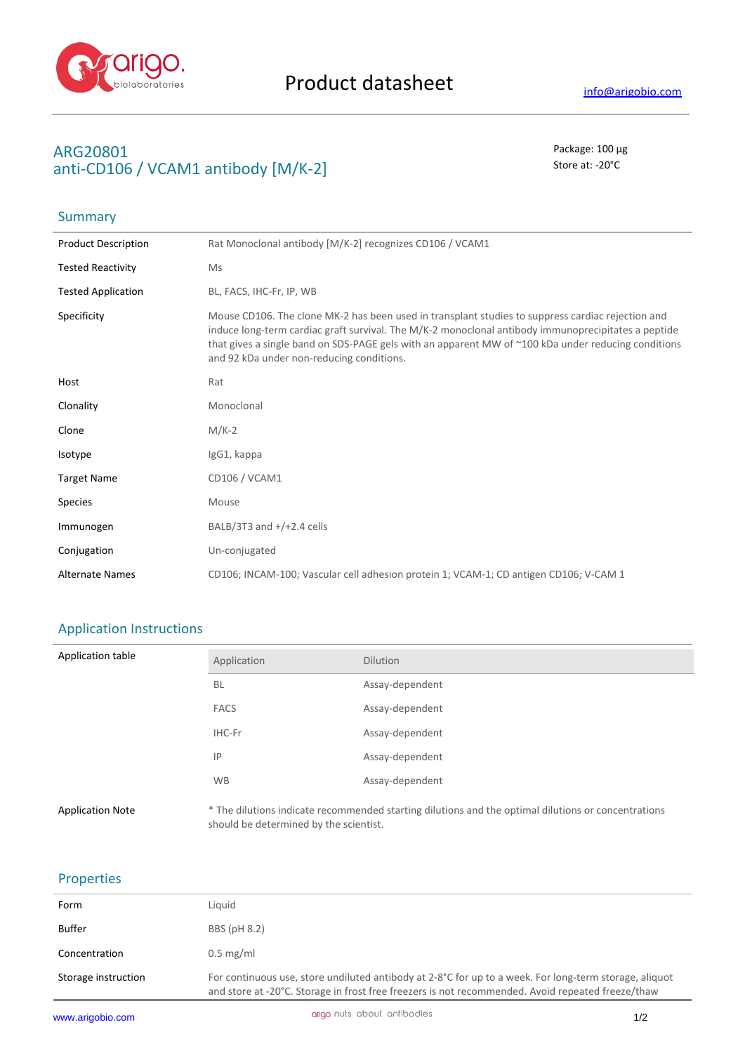

**Summary** 

## **ARG20801** Package: 100 μg anti-CD106 / VCAM1 antibody [M/K-2] Store at: -20<sup>°</sup>C

| <b>Product Description</b> | Rat Monoclonal antibody [M/K-2] recognizes CD106 / VCAM1                                                                                                                                                                                                                                                                                                     |
|----------------------------|--------------------------------------------------------------------------------------------------------------------------------------------------------------------------------------------------------------------------------------------------------------------------------------------------------------------------------------------------------------|
| <b>Tested Reactivity</b>   | Ms                                                                                                                                                                                                                                                                                                                                                           |
| <b>Tested Application</b>  | BL, FACS, IHC-Fr, IP, WB                                                                                                                                                                                                                                                                                                                                     |
| Specificity                | Mouse CD106. The clone MK-2 has been used in transplant studies to suppress cardiac rejection and<br>induce long-term cardiac graft survival. The M/K-2 monoclonal antibody immunoprecipitates a peptide<br>that gives a single band on SDS-PAGE gels with an apparent MW of ~100 kDa under reducing conditions<br>and 92 kDa under non-reducing conditions. |
| Host                       | Rat                                                                                                                                                                                                                                                                                                                                                          |
| Clonality                  | Monoclonal                                                                                                                                                                                                                                                                                                                                                   |
| Clone                      | $M/K-2$                                                                                                                                                                                                                                                                                                                                                      |
| Isotype                    | IgG1, kappa                                                                                                                                                                                                                                                                                                                                                  |
| <b>Target Name</b>         | CD106 / VCAM1                                                                                                                                                                                                                                                                                                                                                |
| <b>Species</b>             | Mouse                                                                                                                                                                                                                                                                                                                                                        |
| Immunogen                  | BALB/3T3 and $+$ / $+2.4$ cells                                                                                                                                                                                                                                                                                                                              |
| Conjugation                | Un-conjugated                                                                                                                                                                                                                                                                                                                                                |
| <b>Alternate Names</b>     | CD106; INCAM-100; Vascular cell adhesion protein 1; VCAM-1; CD antigen CD106; V-CAM 1                                                                                                                                                                                                                                                                        |

## Application Instructions

| Application table       | Application                            | <b>Dilution</b>                                                                                     |
|-------------------------|----------------------------------------|-----------------------------------------------------------------------------------------------------|
|                         | <b>BL</b>                              | Assay-dependent                                                                                     |
|                         | <b>FACS</b>                            | Assay-dependent                                                                                     |
|                         | IHC-Fr                                 | Assay-dependent                                                                                     |
|                         | IP                                     | Assay-dependent                                                                                     |
|                         | <b>WB</b>                              | Assay-dependent                                                                                     |
| <b>Application Note</b> | should be determined by the scientist. | * The dilutions indicate recommended starting dilutions and the optimal dilutions or concentrations |

## Properties

| Form                | Liguid                                                                                                                                                                                                      |
|---------------------|-------------------------------------------------------------------------------------------------------------------------------------------------------------------------------------------------------------|
| Buffer              | BBS (pH 8.2)                                                                                                                                                                                                |
| Concentration       | $0.5$ mg/ml                                                                                                                                                                                                 |
| Storage instruction | For continuous use, store undiluted antibody at 2-8°C for up to a week. For long-term storage, aliquot<br>and store at -20°C. Storage in frost free freezers is not recommended. Avoid repeated freeze/thaw |
|                     |                                                                                                                                                                                                             |

J.